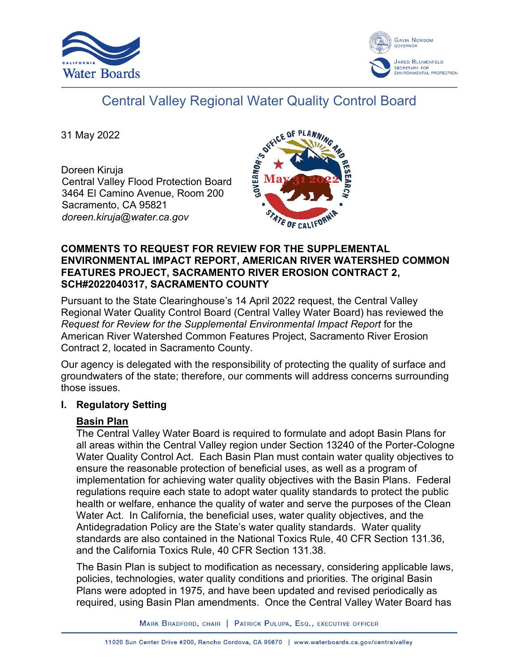



# Central Valley Regional Water Quality Control Board

31 May 2022

Doreen Kiruja Central Valley Flood Protection Board 3464 El Camino Avenue, Room 200 Sacramento, CA 95821 *doreen.kiruja@water.ca.gov*



#### **COMMENTS TO REQUEST FOR REVIEW FOR THE SUPPLEMENTAL ENVIRONMENTAL IMPACT REPORT, AMERICAN RIVER WATERSHED COMMON FEATURES PROJECT, SACRAMENTO RIVER EROSION CONTRACT 2, SCH#2022040317, SACRAMENTO COUNTY**

Pursuant to the State Clearinghouse's 14 April 2022 request, the Central Valley Regional Water Quality Control Board (Central Valley Water Board) has reviewed the *Request for Review for the Supplemental Environmental Impact Report* for the American River Watershed Common Features Project, Sacramento River Erosion Contract 2, located in Sacramento County.

Our agency is delegated with the responsibility of protecting the quality of surface and groundwaters of the state; therefore, our comments will address concerns surrounding those issues.

#### **I. Regulatory Setting**

## **Basin Plan**

The Central Valley Water Board is required to formulate and adopt Basin Plans for all areas within the Central Valley region under Section 13240 of the Porter-Cologne Water Quality Control Act. Each Basin Plan must contain water quality objectives to ensure the reasonable protection of beneficial uses, as well as a program of implementation for achieving water quality objectives with the Basin Plans. Federal regulations require each state to adopt water quality standards to protect the public health or welfare, enhance the quality of water and serve the purposes of the Clean Water Act. In California, the beneficial uses, water quality objectives, and the Antidegradation Policy are the State's water quality standards. Water quality standards are also contained in the National Toxics Rule, 40 CFR Section 131.36, and the California Toxics Rule, 40 CFR Section 131.38.

The Basin Plan is subject to modification as necessary, considering applicable laws, policies, technologies, water quality conditions and priorities. The original Basin Plans were adopted in 1975, and have been updated and revised periodically as required, using Basin Plan amendments. Once the Central Valley Water Board has

MARK BRADFORD, CHAIR | PATRICK PULUPA, ESQ., EXECUTIVE OFFICER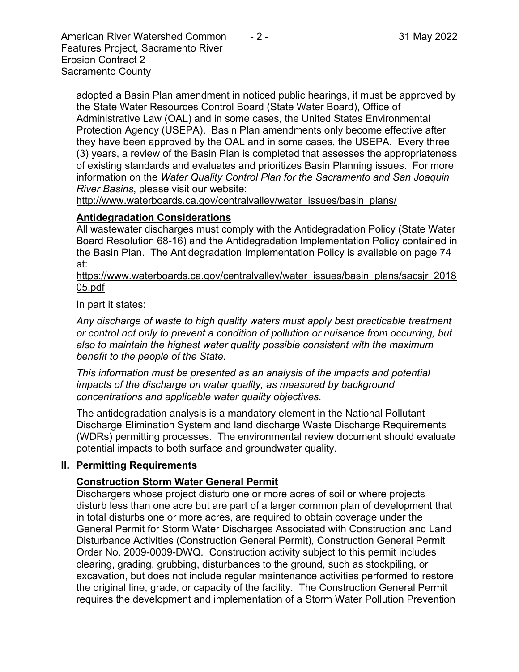American River Watershed Common  $-2$  - 31 May 2022 Features Project, Sacramento River Erosion Contract 2 Sacramento County

adopted a Basin Plan amendment in noticed public hearings, it must be approved by the State Water Resources Control Board (State Water Board), Office of Administrative Law (OAL) and in some cases, the United States Environmental Protection Agency (USEPA). Basin Plan amendments only become effective after they have been approved by the OAL and in some cases, the USEPA. Every three (3) years, a review of the Basin Plan is completed that assesses the appropriateness of existing standards and evaluates and prioritizes Basin Planning issues. For more information on the *Water Quality Control Plan for the Sacramento and San Joaquin River Basins*, please visit our website:

[http://www.waterboards.ca.gov/centralvalley/water\\_issues/basin\\_plans/](http://www.waterboards.ca.gov/centralvalley/water_issues/basin_plans/)

#### **Antidegradation Considerations**

All wastewater discharges must comply with the Antidegradation Policy (State Water Board Resolution 68-16) and the Antidegradation Implementation Policy contained in the Basin Plan. The Antidegradation Implementation Policy is available on page 74 at:

https://www.waterboards.ca.gov/centralvalley/water\_issues/basin\_plans/sacsjr\_2018 05.pdf

In part it states:

*Any discharge of waste to high quality waters must apply best practicable treatment or control not only to prevent a condition of pollution or nuisance from occurring, but also to maintain the highest water quality possible consistent with the maximum benefit to the people of the State.*

*This information must be presented as an analysis of the impacts and potential impacts of the discharge on water quality, as measured by background concentrations and applicable water quality objectives.*

The antidegradation analysis is a mandatory element in the National Pollutant Discharge Elimination System and land discharge Waste Discharge Requirements (WDRs) permitting processes. The environmental review document should evaluate potential impacts to both surface and groundwater quality.

#### **II. Permitting Requirements**

## **Construction Storm Water General Permit**

Dischargers whose project disturb one or more acres of soil or where projects disturb less than one acre but are part of a larger common plan of development that in total disturbs one or more acres, are required to obtain coverage under the General Permit for Storm Water Discharges Associated with Construction and Land Disturbance Activities (Construction General Permit), Construction General Permit Order No. 2009-0009-DWQ. Construction activity subject to this permit includes clearing, grading, grubbing, disturbances to the ground, such as stockpiling, or excavation, but does not include regular maintenance activities performed to restore the original line, grade, or capacity of the facility. The Construction General Permit requires the development and implementation of a Storm Water Pollution Prevention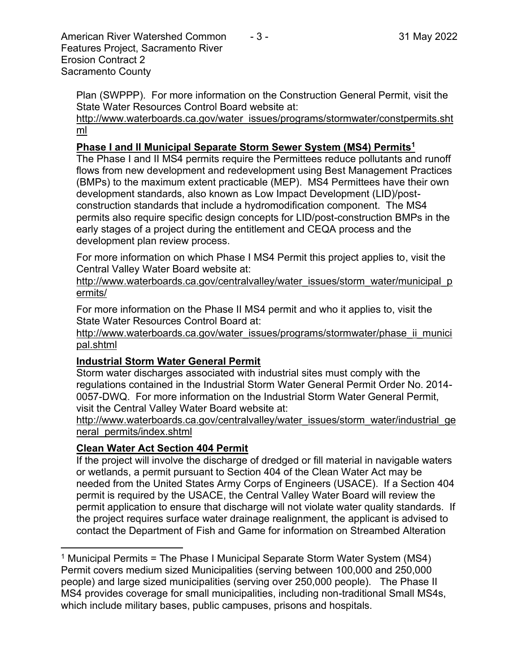American River Watershed Common  $-3$  - 31 May 2022 Features Project, Sacramento River Erosion Contract 2 Sacramento County

Plan (SWPPP). For more information on the Construction General Permit, visit the State Water Resources Control Board website at:

[http://www.waterboards.ca.gov/water\\_issues/programs/stormwater/constpermits.sht](http://www.waterboards.ca.gov/water_issues/programs/stormwater/constpermits.shtml) [ml](http://www.waterboards.ca.gov/water_issues/programs/stormwater/constpermits.shtml)

## **Phase I and II Municipal Separate Storm Sewer System (MS4) Permits<sup>1</sup>**

The Phase I and II MS4 permits require the Permittees reduce pollutants and runoff flows from new development and redevelopment using Best Management Practices (BMPs) to the maximum extent practicable (MEP). MS4 Permittees have their own development standards, also known as Low Impact Development (LID)/postconstruction standards that include a hydromodification component. The MS4 permits also require specific design concepts for LID/post-construction BMPs in the early stages of a project during the entitlement and CEQA process and the development plan review process.

For more information on which Phase I MS4 Permit this project applies to, visit the Central Valley Water Board website at:

http://www.waterboards.ca.gov/centralvalley/water\_issues/storm\_water/municipal\_p ermits/

For more information on the Phase II MS4 permit and who it applies to, visit the State Water Resources Control Board at:

http://www.waterboards.ca.gov/water\_issues/programs/stormwater/phase\_ii\_munici pal.shtml

## **Industrial Storm Water General Permit**

Storm water discharges associated with industrial sites must comply with the regulations contained in the Industrial Storm Water General Permit Order No. 2014- 0057-DWQ. For more information on the Industrial Storm Water General Permit, visit the Central Valley Water Board website at:

http://www.waterboards.ca.gov/centralvalley/water\_issues/storm\_water/industrial\_ge neral\_permits/index.shtml

# **Clean Water Act Section 404 Permit**

If the project will involve the discharge of dredged or fill material in navigable waters or wetlands, a permit pursuant to Section 404 of the Clean Water Act may be needed from the United States Army Corps of Engineers (USACE). If a Section 404 permit is required by the USACE, the Central Valley Water Board will review the permit application to ensure that discharge will not violate water quality standards. If the project requires surface water drainage realignment, the applicant is advised to contact the Department of Fish and Game for information on Streambed Alteration

<sup>&</sup>lt;sup>1</sup> Municipal Permits = The Phase I Municipal Separate Storm Water System (MS4) Permit covers medium sized Municipalities (serving between 100,000 and 250,000 people) and large sized municipalities (serving over 250,000 people). The Phase II MS4 provides coverage for small municipalities, including non-traditional Small MS4s, which include military bases, public campuses, prisons and hospitals.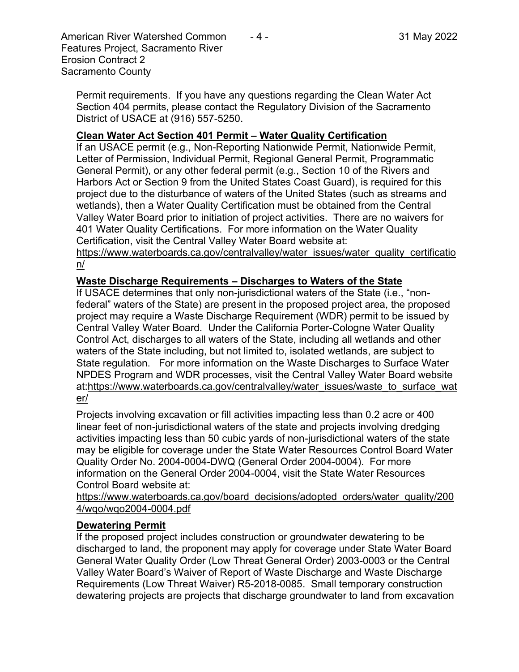American River Watershed Common  $-4$  - 31 May 2022 Features Project, Sacramento River Erosion Contract 2 Sacramento County

Permit requirements. If you have any questions regarding the Clean Water Act Section 404 permits, please contact the Regulatory Division of the Sacramento District of USACE at (916) 557-5250.

#### **Clean Water Act Section 401 Permit – Water Quality Certification**

If an USACE permit (e.g., Non-Reporting Nationwide Permit, Nationwide Permit, Letter of Permission, Individual Permit, Regional General Permit, Programmatic General Permit), or any other federal permit (e.g., Section 10 of the Rivers and Harbors Act or Section 9 from the United States Coast Guard), is required for this project due to the disturbance of waters of the United States (such as streams and wetlands), then a Water Quality Certification must be obtained from the Central Valley Water Board prior to initiation of project activities. There are no waivers for 401 Water Quality Certifications. For more information on the Water Quality Certification, visit the Central Valley Water Board website at:

https://www.waterboards.ca.gov/centralvalley/water\_issues/water\_quality\_certificatio n/

#### **Waste Discharge Requirements – Discharges to Waters of the State**

If USACE determines that only non-jurisdictional waters of the State (i.e., "nonfederal" waters of the State) are present in the proposed project area, the proposed project may require a Waste Discharge Requirement (WDR) permit to be issued by Central Valley Water Board. Under the California Porter-Cologne Water Quality Control Act, discharges to all waters of the State, including all wetlands and other waters of the State including, but not limited to, isolated wetlands, are subject to State regulation. For more information on the Waste Discharges to Surface Water NPDES Program and WDR processes, visit the Central Valley Water Board website at:https://www.waterboards.ca.gov/centralvalley/water\_issues/waste\_to\_surface\_wat er/

Projects involving excavation or fill activities impacting less than 0.2 acre or 400 linear feet of non-jurisdictional waters of the state and projects involving dredging activities impacting less than 50 cubic yards of non-jurisdictional waters of the state may be eligible for coverage under the State Water Resources Control Board Water Quality Order No. 2004-0004-DWQ (General Order 2004-0004). For more information on the General Order 2004-0004, visit the State Water Resources Control Board website at:

https://www.waterboards.ca.gov/board\_decisions/adopted\_orders/water\_quality/200 4/wqo/wqo2004-0004.pdf

#### **Dewatering Permit**

If the proposed project includes construction or groundwater dewatering to be discharged to land, the proponent may apply for coverage under State Water Board General Water Quality Order (Low Threat General Order) 2003-0003 or the Central Valley Water Board's Waiver of Report of Waste Discharge and Waste Discharge Requirements (Low Threat Waiver) R5-2018-0085. Small temporary construction dewatering projects are projects that discharge groundwater to land from excavation